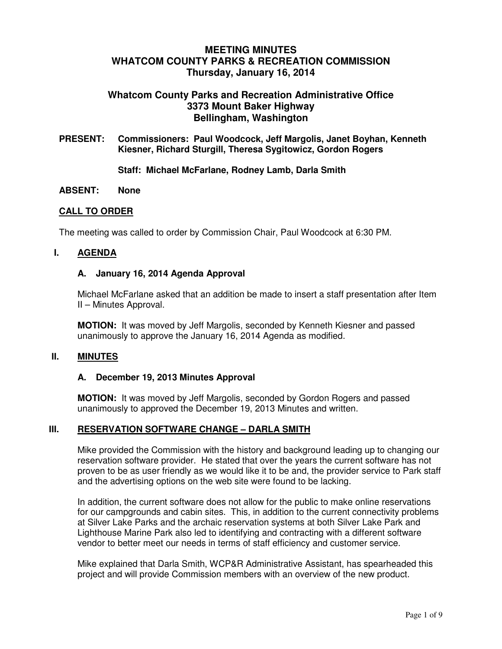# **MEETING MINUTES WHATCOM COUNTY PARKS & RECREATION COMMISSION Thursday, January 16, 2014**

# **Whatcom County Parks and Recreation Administrative Office 3373 Mount Baker Highway Bellingham, Washington**

**PRESENT: Commissioners: Paul Woodcock, Jeff Margolis, Janet Boyhan, Kenneth Kiesner, Richard Sturgill, Theresa Sygitowicz, Gordon Rogers**

#### **Staff: Michael McFarlane, Rodney Lamb, Darla Smith**

#### **ABSENT: None**

#### **CALL TO ORDER**

The meeting was called to order by Commission Chair, Paul Woodcock at 6:30 PM.

#### **I. AGENDA**

#### **A. January 16, 2014 Agenda Approval**

Michael McFarlane asked that an addition be made to insert a staff presentation after Item II – Minutes Approval.

**MOTION:** It was moved by Jeff Margolis, seconded by Kenneth Kiesner and passed unanimously to approve the January 16, 2014 Agenda as modified.

#### **II. MINUTES**

#### **A. December 19, 2013 Minutes Approval**

**MOTION:** It was moved by Jeff Margolis, seconded by Gordon Rogers and passed unanimously to approved the December 19, 2013 Minutes and written.

## **III. RESERVATION SOFTWARE CHANGE – DARLA SMITH**

Mike provided the Commission with the history and background leading up to changing our reservation software provider. He stated that over the years the current software has not proven to be as user friendly as we would like it to be and, the provider service to Park staff and the advertising options on the web site were found to be lacking.

In addition, the current software does not allow for the public to make online reservations for our campgrounds and cabin sites. This, in addition to the current connectivity problems at Silver Lake Parks and the archaic reservation systems at both Silver Lake Park and Lighthouse Marine Park also led to identifying and contracting with a different software vendor to better meet our needs in terms of staff efficiency and customer service.

Mike explained that Darla Smith, WCP&R Administrative Assistant, has spearheaded this project and will provide Commission members with an overview of the new product.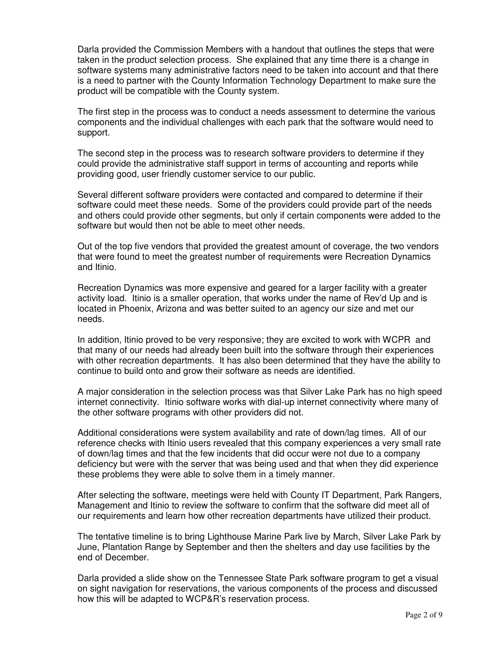Darla provided the Commission Members with a handout that outlines the steps that were taken in the product selection process. She explained that any time there is a change in software systems many administrative factors need to be taken into account and that there is a need to partner with the County Information Technology Department to make sure the product will be compatible with the County system.

The first step in the process was to conduct a needs assessment to determine the various components and the individual challenges with each park that the software would need to support.

The second step in the process was to research software providers to determine if they could provide the administrative staff support in terms of accounting and reports while providing good, user friendly customer service to our public.

Several different software providers were contacted and compared to determine if their software could meet these needs. Some of the providers could provide part of the needs and others could provide other segments, but only if certain components were added to the software but would then not be able to meet other needs.

Out of the top five vendors that provided the greatest amount of coverage, the two vendors that were found to meet the greatest number of requirements were Recreation Dynamics and Itinio.

Recreation Dynamics was more expensive and geared for a larger facility with a greater activity load. Itinio is a smaller operation, that works under the name of Rev'd Up and is located in Phoenix, Arizona and was better suited to an agency our size and met our needs.

In addition, Itinio proved to be very responsive; they are excited to work with WCPR and that many of our needs had already been built into the software through their experiences with other recreation departments. It has also been determined that they have the ability to continue to build onto and grow their software as needs are identified.

A major consideration in the selection process was that Silver Lake Park has no high speed internet connectivity. Itinio software works with dial-up internet connectivity where many of the other software programs with other providers did not.

Additional considerations were system availability and rate of down/lag times. All of our reference checks with Itinio users revealed that this company experiences a very small rate of down/lag times and that the few incidents that did occur were not due to a company deficiency but were with the server that was being used and that when they did experience these problems they were able to solve them in a timely manner.

After selecting the software, meetings were held with County IT Department, Park Rangers, Management and Itinio to review the software to confirm that the software did meet all of our requirements and learn how other recreation departments have utilized their product.

The tentative timeline is to bring Lighthouse Marine Park live by March, Silver Lake Park by June, Plantation Range by September and then the shelters and day use facilities by the end of December.

Darla provided a slide show on the Tennessee State Park software program to get a visual on sight navigation for reservations, the various components of the process and discussed how this will be adapted to WCP&R's reservation process.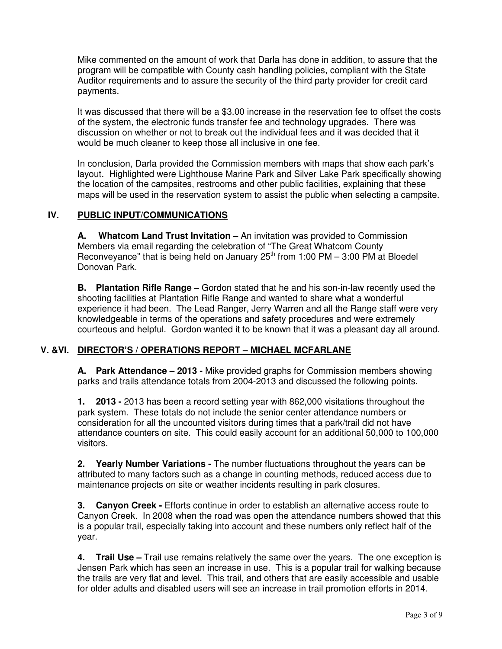Mike commented on the amount of work that Darla has done in addition, to assure that the program will be compatible with County cash handling policies, compliant with the State Auditor requirements and to assure the security of the third party provider for credit card payments.

It was discussed that there will be a \$3.00 increase in the reservation fee to offset the costs of the system, the electronic funds transfer fee and technology upgrades. There was discussion on whether or not to break out the individual fees and it was decided that it would be much cleaner to keep those all inclusive in one fee.

In conclusion, Darla provided the Commission members with maps that show each park's layout. Highlighted were Lighthouse Marine Park and Silver Lake Park specifically showing the location of the campsites, restrooms and other public facilities, explaining that these maps will be used in the reservation system to assist the public when selecting a campsite.

## **IV. PUBLIC INPUT/COMMUNICATIONS**

**A. Whatcom Land Trust Invitation –** An invitation was provided to Commission Members via email regarding the celebration of "The Great Whatcom County Reconveyance" that is being held on January  $25<sup>th</sup>$  from 1:00 PM – 3:00 PM at Bloedel Donovan Park.

**B. Plantation Rifle Range –** Gordon stated that he and his son-in-law recently used the shooting facilities at Plantation Rifle Range and wanted to share what a wonderful experience it had been. The Lead Ranger, Jerry Warren and all the Range staff were very knowledgeable in terms of the operations and safety procedures and were extremely courteous and helpful. Gordon wanted it to be known that it was a pleasant day all around.

## **V. &VI. DIRECTOR'S / OPERATIONS REPORT – MICHAEL MCFARLANE**

**A. Park Attendance – 2013 -** Mike provided graphs for Commission members showing parks and trails attendance totals from 2004-2013 and discussed the following points.

**1. 2013 -** 2013 has been a record setting year with 862,000 visitations throughout the park system. These totals do not include the senior center attendance numbers or consideration for all the uncounted visitors during times that a park/trail did not have attendance counters on site. This could easily account for an additional 50,000 to 100,000 visitors.

**2. Yearly Number Variations -** The number fluctuations throughout the years can be attributed to many factors such as a change in counting methods, reduced access due to maintenance projects on site or weather incidents resulting in park closures.

**3. Canyon Creek -** Efforts continue in order to establish an alternative access route to Canyon Creek. In 2008 when the road was open the attendance numbers showed that this is a popular trail, especially taking into account and these numbers only reflect half of the year.

**4. Trail Use –** Trail use remains relatively the same over the years. The one exception is Jensen Park which has seen an increase in use. This is a popular trail for walking because the trails are very flat and level. This trail, and others that are easily accessible and usable for older adults and disabled users will see an increase in trail promotion efforts in 2014.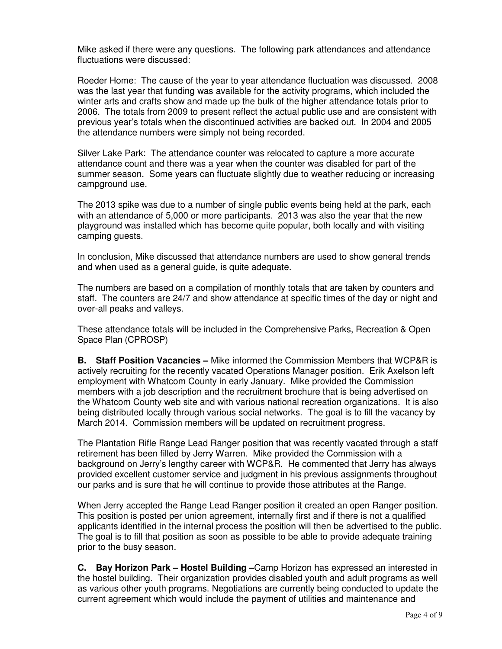Mike asked if there were any questions. The following park attendances and attendance fluctuations were discussed:

Roeder Home: The cause of the year to year attendance fluctuation was discussed. 2008 was the last year that funding was available for the activity programs, which included the winter arts and crafts show and made up the bulk of the higher attendance totals prior to 2006. The totals from 2009 to present reflect the actual public use and are consistent with previous year's totals when the discontinued activities are backed out. In 2004 and 2005 the attendance numbers were simply not being recorded.

Silver Lake Park: The attendance counter was relocated to capture a more accurate attendance count and there was a year when the counter was disabled for part of the summer season. Some years can fluctuate slightly due to weather reducing or increasing campground use.

The 2013 spike was due to a number of single public events being held at the park, each with an attendance of 5,000 or more participants. 2013 was also the year that the new playground was installed which has become quite popular, both locally and with visiting camping guests.

In conclusion, Mike discussed that attendance numbers are used to show general trends and when used as a general guide, is quite adequate.

The numbers are based on a compilation of monthly totals that are taken by counters and staff. The counters are 24/7 and show attendance at specific times of the day or night and over-all peaks and valleys.

These attendance totals will be included in the Comprehensive Parks, Recreation & Open Space Plan (CPROSP)

**B. Staff Position Vacancies –** Mike informed the Commission Members that WCP&R is actively recruiting for the recently vacated Operations Manager position. Erik Axelson left employment with Whatcom County in early January. Mike provided the Commission members with a job description and the recruitment brochure that is being advertised on the Whatcom County web site and with various national recreation organizations. It is also being distributed locally through various social networks. The goal is to fill the vacancy by March 2014. Commission members will be updated on recruitment progress.

The Plantation Rifle Range Lead Ranger position that was recently vacated through a staff retirement has been filled by Jerry Warren. Mike provided the Commission with a background on Jerry's lengthy career with WCP&R. He commented that Jerry has always provided excellent customer service and judgment in his previous assignments throughout our parks and is sure that he will continue to provide those attributes at the Range.

When Jerry accepted the Range Lead Ranger position it created an open Ranger position. This position is posted per union agreement, internally first and if there is not a qualified applicants identified in the internal process the position will then be advertised to the public. The goal is to fill that position as soon as possible to be able to provide adequate training prior to the busy season.

**C. Bay Horizon Park – Hostel Building –**Camp Horizon has expressed an interested in the hostel building. Their organization provides disabled youth and adult programs as well as various other youth programs. Negotiations are currently being conducted to update the current agreement which would include the payment of utilities and maintenance and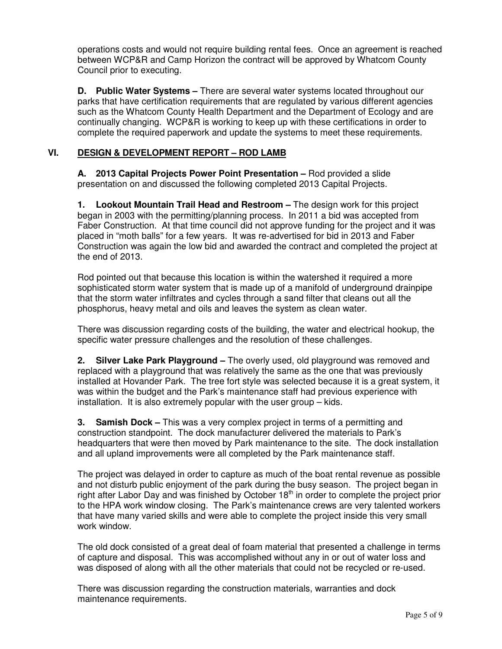operations costs and would not require building rental fees. Once an agreement is reached between WCP&R and Camp Horizon the contract will be approved by Whatcom County Council prior to executing.

**D. Public Water Systems –** There are several water systems located throughout our parks that have certification requirements that are regulated by various different agencies such as the Whatcom County Health Department and the Department of Ecology and are continually changing. WCP&R is working to keep up with these certifications in order to complete the required paperwork and update the systems to meet these requirements.

# **VI. DESIGN & DEVELOPMENT REPORT – ROD LAMB**

**A. 2013 Capital Projects Power Point Presentation –** Rod provided a slide presentation on and discussed the following completed 2013 Capital Projects.

**1. Lookout Mountain Trail Head and Restroom –** The design work for this project began in 2003 with the permitting/planning process. In 2011 a bid was accepted from Faber Construction. At that time council did not approve funding for the project and it was placed in "moth balls" for a few years. It was re-advertised for bid in 2013 and Faber Construction was again the low bid and awarded the contract and completed the project at the end of 2013.

Rod pointed out that because this location is within the watershed it required a more sophisticated storm water system that is made up of a manifold of underground drainpipe that the storm water infiltrates and cycles through a sand filter that cleans out all the phosphorus, heavy metal and oils and leaves the system as clean water.

There was discussion regarding costs of the building, the water and electrical hookup, the specific water pressure challenges and the resolution of these challenges.

**2. Silver Lake Park Playground –** The overly used, old playground was removed and replaced with a playground that was relatively the same as the one that was previously installed at Hovander Park. The tree fort style was selected because it is a great system, it was within the budget and the Park's maintenance staff had previous experience with installation. It is also extremely popular with the user group – kids.

**3. Samish Dock –** This was a very complex project in terms of a permitting and construction standpoint. The dock manufacturer delivered the materials to Park's headquarters that were then moved by Park maintenance to the site. The dock installation and all upland improvements were all completed by the Park maintenance staff.

The project was delayed in order to capture as much of the boat rental revenue as possible and not disturb public enjoyment of the park during the busy season. The project began in right after Labor Day and was finished by October 18<sup>th</sup> in order to complete the project prior to the HPA work window closing. The Park's maintenance crews are very talented workers that have many varied skills and were able to complete the project inside this very small work window.

The old dock consisted of a great deal of foam material that presented a challenge in terms of capture and disposal. This was accomplished without any in or out of water loss and was disposed of along with all the other materials that could not be recycled or re-used.

There was discussion regarding the construction materials, warranties and dock maintenance requirements.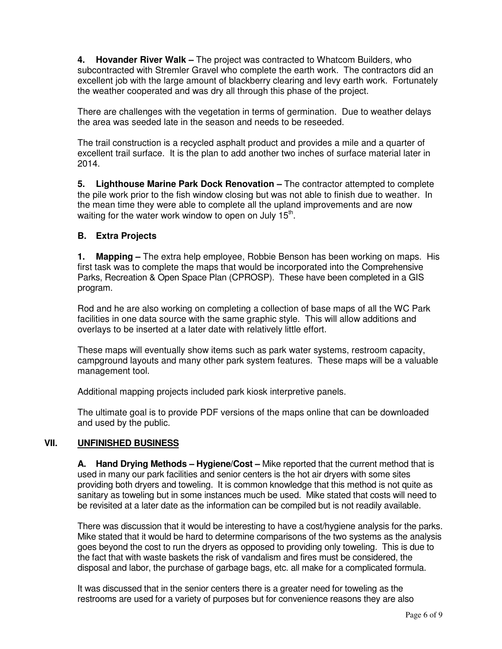**4. Hovander River Walk –** The project was contracted to Whatcom Builders, who subcontracted with Stremler Gravel who complete the earth work. The contractors did an excellent job with the large amount of blackberry clearing and levy earth work. Fortunately the weather cooperated and was dry all through this phase of the project.

There are challenges with the vegetation in terms of germination. Due to weather delays the area was seeded late in the season and needs to be reseeded.

The trail construction is a recycled asphalt product and provides a mile and a quarter of excellent trail surface. It is the plan to add another two inches of surface material later in 2014.

**5. Lighthouse Marine Park Dock Renovation –** The contractor attempted to complete the pile work prior to the fish window closing but was not able to finish due to weather. In the mean time they were able to complete all the upland improvements and are now waiting for the water work window to open on July  $15<sup>th</sup>$ .

## **B. Extra Projects**

**1. Mapping –** The extra help employee, Robbie Benson has been working on maps. His first task was to complete the maps that would be incorporated into the Comprehensive Parks, Recreation & Open Space Plan (CPROSP). These have been completed in a GIS program.

Rod and he are also working on completing a collection of base maps of all the WC Park facilities in one data source with the same graphic style. This will allow additions and overlays to be inserted at a later date with relatively little effort.

These maps will eventually show items such as park water systems, restroom capacity, campground layouts and many other park system features. These maps will be a valuable management tool.

Additional mapping projects included park kiosk interpretive panels.

The ultimate goal is to provide PDF versions of the maps online that can be downloaded and used by the public.

## **VII. UNFINISHED BUSINESS**

**A. Hand Drying Methods – Hygiene/Cost –** Mike reported that the current method that is used in many our park facilities and senior centers is the hot air dryers with some sites providing both dryers and toweling. It is common knowledge that this method is not quite as sanitary as toweling but in some instances much be used. Mike stated that costs will need to be revisited at a later date as the information can be compiled but is not readily available.

There was discussion that it would be interesting to have a cost/hygiene analysis for the parks. Mike stated that it would be hard to determine comparisons of the two systems as the analysis goes beyond the cost to run the dryers as opposed to providing only toweling. This is due to the fact that with waste baskets the risk of vandalism and fires must be considered, the disposal and labor, the purchase of garbage bags, etc. all make for a complicated formula.

It was discussed that in the senior centers there is a greater need for toweling as the restrooms are used for a variety of purposes but for convenience reasons they are also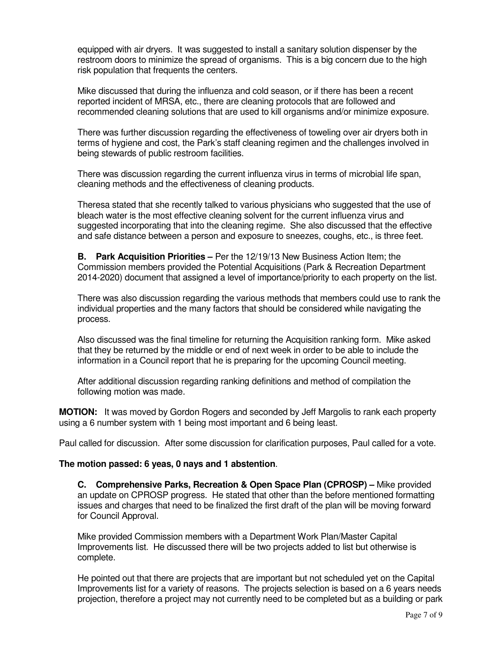equipped with air dryers. It was suggested to install a sanitary solution dispenser by the restroom doors to minimize the spread of organisms. This is a big concern due to the high risk population that frequents the centers.

Mike discussed that during the influenza and cold season, or if there has been a recent reported incident of MRSA, etc., there are cleaning protocols that are followed and recommended cleaning solutions that are used to kill organisms and/or minimize exposure.

There was further discussion regarding the effectiveness of toweling over air dryers both in terms of hygiene and cost, the Park's staff cleaning regimen and the challenges involved in being stewards of public restroom facilities.

There was discussion regarding the current influenza virus in terms of microbial life span, cleaning methods and the effectiveness of cleaning products.

Theresa stated that she recently talked to various physicians who suggested that the use of bleach water is the most effective cleaning solvent for the current influenza virus and suggested incorporating that into the cleaning regime. She also discussed that the effective and safe distance between a person and exposure to sneezes, coughs, etc., is three feet.

**B. Park Acquisition Priorities –** Per the 12/19/13 New Business Action Item; the Commission members provided the Potential Acquisitions (Park & Recreation Department 2014-2020) document that assigned a level of importance/priority to each property on the list.

There was also discussion regarding the various methods that members could use to rank the individual properties and the many factors that should be considered while navigating the process.

Also discussed was the final timeline for returning the Acquisition ranking form. Mike asked that they be returned by the middle or end of next week in order to be able to include the information in a Council report that he is preparing for the upcoming Council meeting.

After additional discussion regarding ranking definitions and method of compilation the following motion was made.

**MOTION:** It was moved by Gordon Rogers and seconded by Jeff Margolis to rank each property using a 6 number system with 1 being most important and 6 being least.

Paul called for discussion. After some discussion for clarification purposes, Paul called for a vote.

## **The motion passed: 6 yeas, 0 nays and 1 abstention**.

**C. Comprehensive Parks, Recreation & Open Space Plan (CPROSP) –** Mike provided an update on CPROSP progress. He stated that other than the before mentioned formatting issues and charges that need to be finalized the first draft of the plan will be moving forward for Council Approval.

Mike provided Commission members with a Department Work Plan/Master Capital Improvements list. He discussed there will be two projects added to list but otherwise is complete.

He pointed out that there are projects that are important but not scheduled yet on the Capital Improvements list for a variety of reasons. The projects selection is based on a 6 years needs projection, therefore a project may not currently need to be completed but as a building or park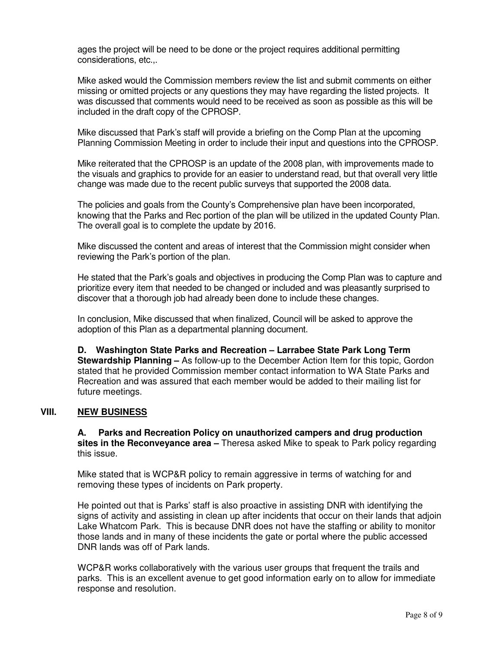ages the project will be need to be done or the project requires additional permitting considerations, etc.,.

Mike asked would the Commission members review the list and submit comments on either missing or omitted projects or any questions they may have regarding the listed projects. It was discussed that comments would need to be received as soon as possible as this will be included in the draft copy of the CPROSP.

Mike discussed that Park's staff will provide a briefing on the Comp Plan at the upcoming Planning Commission Meeting in order to include their input and questions into the CPROSP.

Mike reiterated that the CPROSP is an update of the 2008 plan, with improvements made to the visuals and graphics to provide for an easier to understand read, but that overall very little change was made due to the recent public surveys that supported the 2008 data.

The policies and goals from the County's Comprehensive plan have been incorporated, knowing that the Parks and Rec portion of the plan will be utilized in the updated County Plan. The overall goal is to complete the update by 2016.

Mike discussed the content and areas of interest that the Commission might consider when reviewing the Park's portion of the plan.

He stated that the Park's goals and objectives in producing the Comp Plan was to capture and prioritize every item that needed to be changed or included and was pleasantly surprised to discover that a thorough job had already been done to include these changes.

In conclusion, Mike discussed that when finalized, Council will be asked to approve the adoption of this Plan as a departmental planning document.

**D. Washington State Parks and Recreation – Larrabee State Park Long Term Stewardship Planning –** As follow-up to the December Action Item for this topic, Gordon stated that he provided Commission member contact information to WA State Parks and Recreation and was assured that each member would be added to their mailing list for future meetings.

## **VIII. NEW BUSINESS**

**A. Parks and Recreation Policy on unauthorized campers and drug production sites in the Reconveyance area –** Theresa asked Mike to speak to Park policy regarding this issue.

Mike stated that is WCP&R policy to remain aggressive in terms of watching for and removing these types of incidents on Park property.

He pointed out that is Parks' staff is also proactive in assisting DNR with identifying the signs of activity and assisting in clean up after incidents that occur on their lands that adjoin Lake Whatcom Park. This is because DNR does not have the staffing or ability to monitor those lands and in many of these incidents the gate or portal where the public accessed DNR lands was off of Park lands.

WCP&R works collaboratively with the various user groups that frequent the trails and parks. This is an excellent avenue to get good information early on to allow for immediate response and resolution.